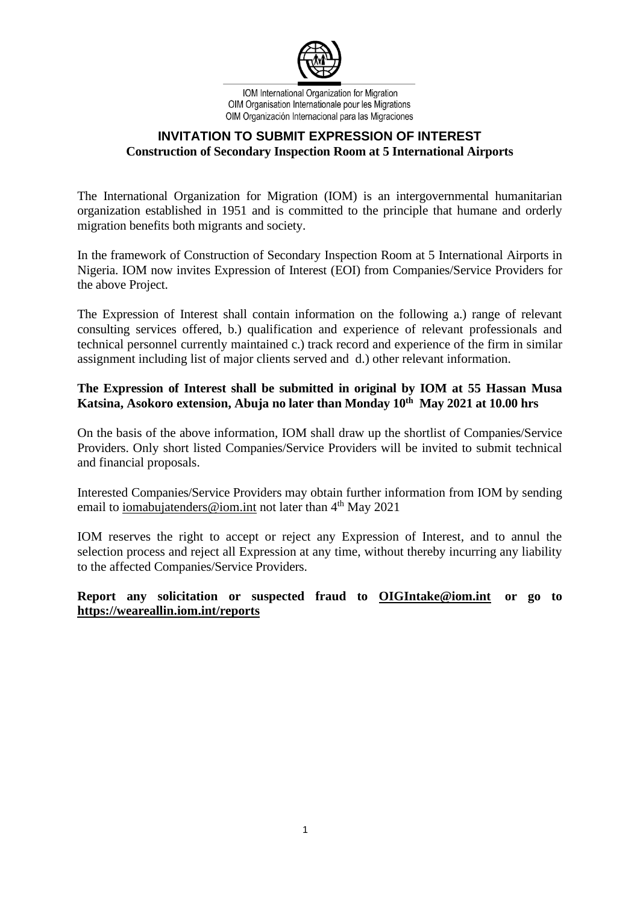

IOM International Organization for Migration OIM Organisation Internationale pour les Migrations OIM Organización Internacional para las Migraciones

### **INVITATION TO SUBMIT EXPRESSION OF INTEREST Construction of Secondary Inspection Room at 5 International Airports**

The International Organization for Migration (IOM) is an intergovernmental humanitarian organization established in 1951 and is committed to the principle that humane and orderly migration benefits both migrants and society.

In the framework of Construction of Secondary Inspection Room at 5 International Airports in Nigeria. IOM now invites Expression of Interest (EOI) from Companies/Service Providers for the above Project.

The Expression of Interest shall contain information on the following a.) range of relevant consulting services offered, b.) qualification and experience of relevant professionals and technical personnel currently maintained c.) track record and experience of the firm in similar assignment including list of major clients served and d.) other relevant information.

#### **The Expression of Interest shall be submitted in original by IOM at 55 Hassan Musa Katsina, Asokoro extension, Abuja no later than Monday 10th May 2021 at 10.00 hrs**

On the basis of the above information, IOM shall draw up the shortlist of Companies/Service Providers. Only short listed Companies/Service Providers will be invited to submit technical and financial proposals.

Interested Companies/Service Providers may obtain further information from IOM by sending email to [iomabujatenders@iom.int](mailto:iomabujatenders@iom.int) not later than 4<sup>th</sup> May 2021

IOM reserves the right to accept or reject any Expression of Interest, and to annul the selection process and reject all Expression at any time, without thereby incurring any liability to the affected Companies/Service Providers.

### **Report any solicitation or suspected fraud to [OIGIntake@iom.int](mailto:OIGIntake@iom.int) or go to <https://weareallin.iom.int/reports>**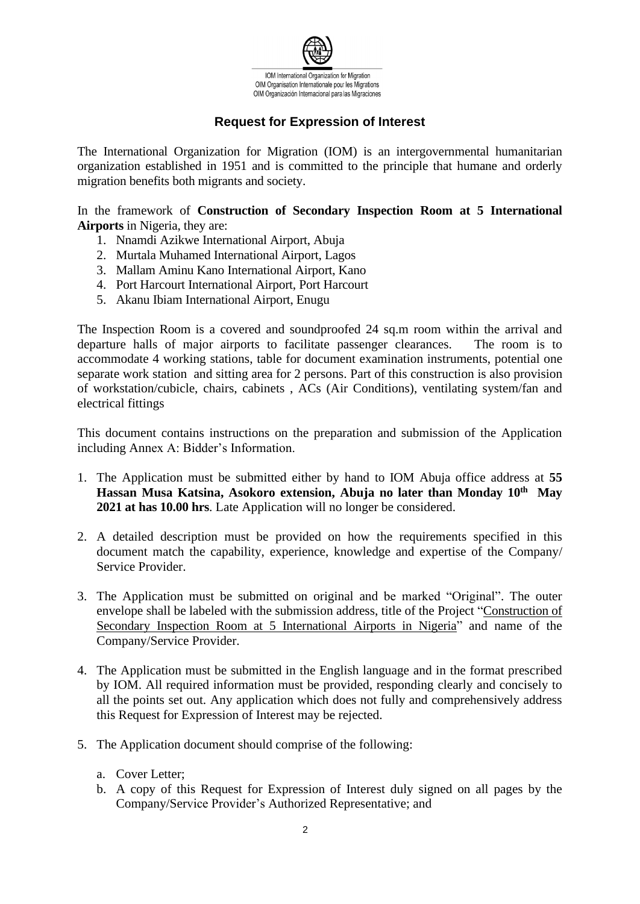

# **Request for Expression of Interest**

The International Organization for Migration (IOM) is an intergovernmental humanitarian organization established in 1951 and is committed to the principle that humane and orderly migration benefits both migrants and society.

In the framework of **Construction of Secondary Inspection Room at 5 International Airports** in Nigeria, they are:

- 1. Nnamdi Azikwe International Airport, Abuja
- 2. Murtala Muhamed International Airport, Lagos
- 3. Mallam Aminu Kano International Airport, Kano
- 4. Port Harcourt International Airport, Port Harcourt
- 5. Akanu Ibiam International Airport, Enugu

The Inspection Room is a covered and soundproofed 24 sq.m room within the arrival and departure halls of major airports to facilitate passenger clearances. The room is to accommodate 4 working stations, table for document examination instruments, potential one separate work station and sitting area for 2 persons. Part of this construction is also provision of workstation/cubicle, chairs, cabinets , ACs (Air Conditions), ventilating system/fan and electrical fittings

This document contains instructions on the preparation and submission of the Application including Annex A: Bidder's Information.

- 1. The Application must be submitted either by hand to IOM Abuja office address at **55 Hassan Musa Katsina, Asokoro extension, Abuja no later than Monday 10th May 2021 at has 10.00 hrs**. Late Application will no longer be considered.
- 2. A detailed description must be provided on how the requirements specified in this document match the capability, experience, knowledge and expertise of the Company/ Service Provider.
- 3. The Application must be submitted on original and be marked "Original". The outer envelope shall be labeled with the submission address, title of the Project "Construction of Secondary Inspection Room at 5 International Airports in Nigeria" and name of the Company/Service Provider.
- 4. The Application must be submitted in the English language and in the format prescribed by IOM. All required information must be provided, responding clearly and concisely to all the points set out. Any application which does not fully and comprehensively address this Request for Expression of Interest may be rejected.
- 5. The Application document should comprise of the following:
	- a. Cover Letter;
	- b. A copy of this Request for Expression of Interest duly signed on all pages by the Company/Service Provider's Authorized Representative; and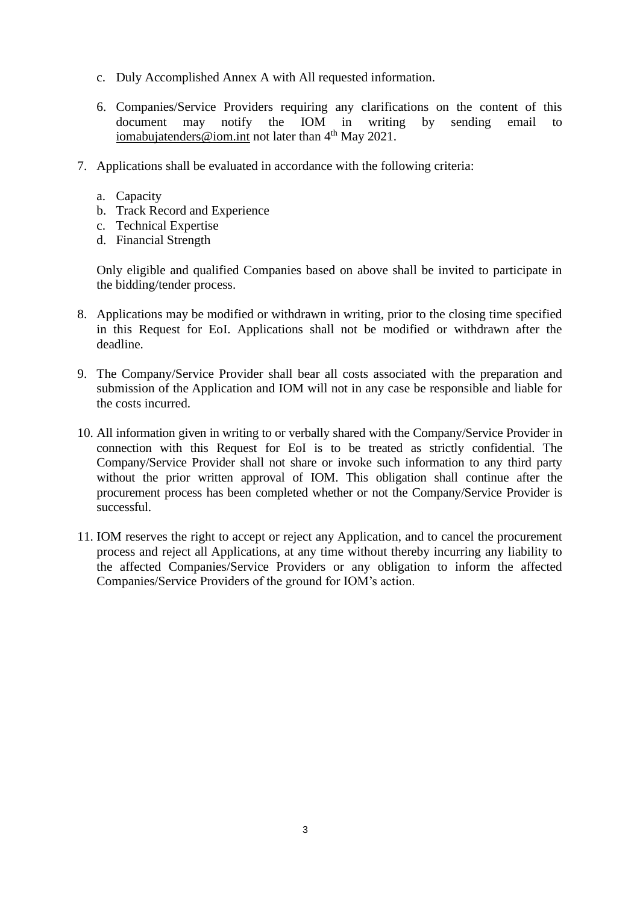- c. Duly Accomplished Annex A with All requested information.
- 6. Companies/Service Providers requiring any clarifications on the content of this document may notify the IOM in writing by sending email to [iomabujatenders@iom.int](mailto:iomabujatenders@iom.int) not later than 4<sup>th</sup> May 2021.
- 7. Applications shall be evaluated in accordance with the following criteria:
	- a. Capacity
	- b. Track Record and Experience
	- c. Technical Expertise
	- d. Financial Strength

Only eligible and qualified Companies based on above shall be invited to participate in the bidding/tender process.

- 8. Applications may be modified or withdrawn in writing, prior to the closing time specified in this Request for EoI. Applications shall not be modified or withdrawn after the deadline.
- 9. The Company/Service Provider shall bear all costs associated with the preparation and submission of the Application and IOM will not in any case be responsible and liable for the costs incurred.
- 10. All information given in writing to or verbally shared with the Company/Service Provider in connection with this Request for EoI is to be treated as strictly confidential. The Company/Service Provider shall not share or invoke such information to any third party without the prior written approval of IOM. This obligation shall continue after the procurement process has been completed whether or not the Company/Service Provider is successful.
- 11. IOM reserves the right to accept or reject any Application, and to cancel the procurement process and reject all Applications, at any time without thereby incurring any liability to the affected Companies/Service Providers or any obligation to inform the affected Companies/Service Providers of the ground for IOM's action.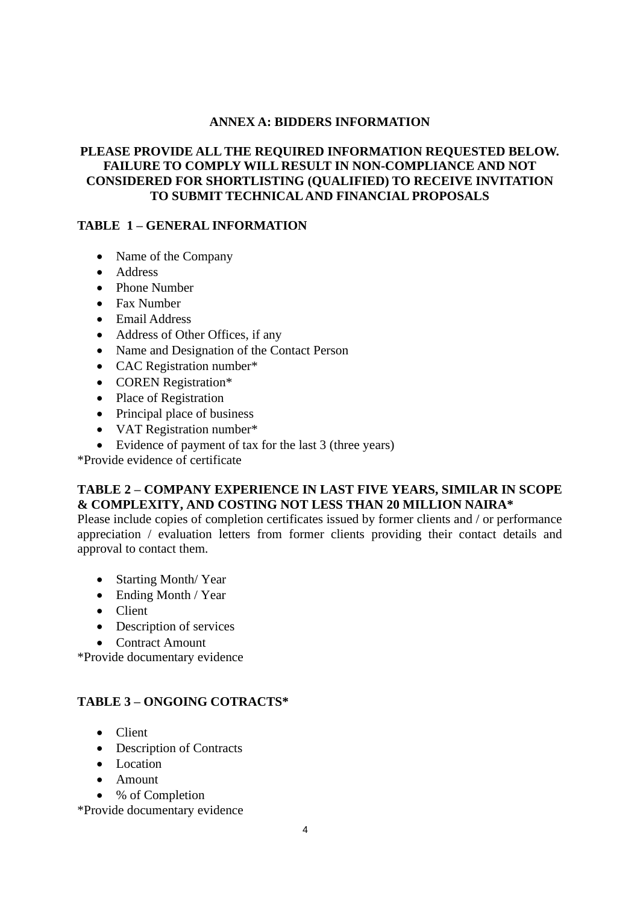#### **ANNEX A: BIDDERS INFORMATION**

#### **PLEASE PROVIDE ALL THE REQUIRED INFORMATION REQUESTED BELOW. FAILURE TO COMPLY WILL RESULT IN NON-COMPLIANCE AND NOT CONSIDERED FOR SHORTLISTING (QUALIFIED) TO RECEIVE INVITATION TO SUBMIT TECHNICALAND FINANCIAL PROPOSALS**

#### **TABLE 1 – GENERAL INFORMATION**

- Name of the Company
- Address
- Phone Number
- Fax Number
- Email Address
- Address of Other Offices, if any
- Name and Designation of the Contact Person
- CAC Registration number\*
- COREN Registration\*
- Place of Registration
- Principal place of business
- VAT Registration number\*
- Evidence of payment of tax for the last 3 (three years)

\*Provide evidence of certificate

### **TABLE 2 – COMPANY EXPERIENCE IN LAST FIVE YEARS, SIMILAR IN SCOPE & COMPLEXITY, AND COSTING NOT LESS THAN 20 MILLION NAIRA\***

Please include copies of completion certificates issued by former clients and / or performance appreciation / evaluation letters from former clients providing their contact details and approval to contact them.

- Starting Month/Year
- Ending Month / Year
- Client
- Description of services
- Contract Amount

\*Provide documentary evidence

### **TABLE 3 – ONGOING COTRACTS\***

- Client
- Description of Contracts
- Location
- Amount
- % of Completion

\*Provide documentary evidence